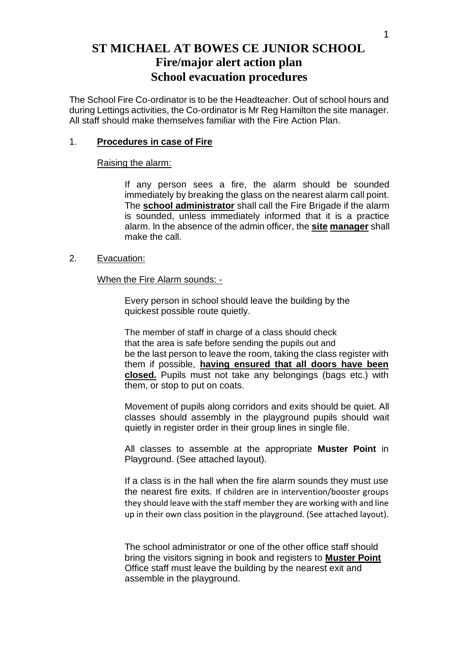# **ST MICHAEL AT BOWES CE JUNIOR SCHOOL Fire/major alert action plan School evacuation procedures**

The School Fire Co-ordinator is to be the Headteacher. Out of school hours and during Lettings activities, the Co-ordinator is Mr Reg Hamilton the site manager. All staff should make themselves familiar with the Fire Action Plan.

## 1. **Procedures in case of Fire**

## Raising the alarm:

If any person sees a fire, the alarm should be sounded immediately by breaking the glass on the nearest alarm call point. The **school administrator** shall call the Fire Brigade if the alarm is sounded, unless immediately informed that it is a practice alarm. In the absence of the admin officer, the **site manager** shall make the call.

## 2. Evacuation:

## When the Fire Alarm sounds: -

Every person in school should leave the building by the quickest possible route quietly.

The member of staff in charge of a class should check that the area is safe before sending the pupils out and be the last person to leave the room, taking the class register with them if possible, **having ensured that all doors have been closed.** Pupils must not take any belongings (bags etc.) with them, or stop to put on coats.

Movement of pupils along corridors and exits should be quiet. All classes should assembly in the playground pupils should wait quietly in register order in their group lines in single file.

All classes to assemble at the appropriate **Muster Point** in Playground. (See attached layout).

If a class is in the hall when the fire alarm sounds they must use the nearest fire exits. If children are in intervention/booster groups they should leave with the staff member they are working with and line up in their own class position in the playground. (See attached layout).

The school administrator or one of the other office staff should bring the visitors signing in book and registers to **Muster Point** Office staff must leave the building by the nearest exit and assemble in the playground.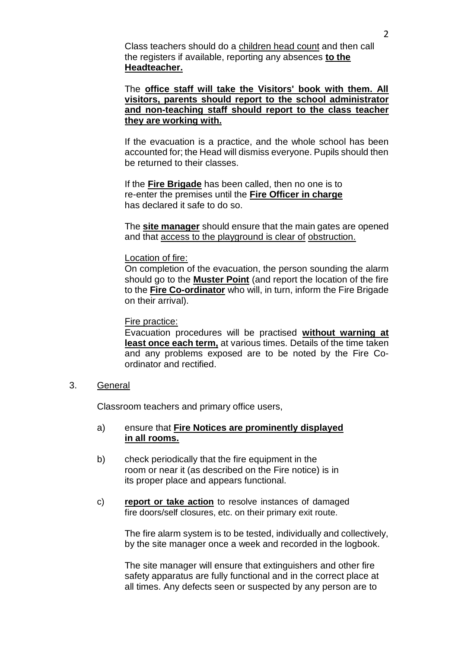Class teachers should do a children head count and then call the registers if available, reporting any absences **to the Headteacher.**

The **office staff will take the Visitors' book with them. All visitors, parents should report to the school administrator and non-teaching staff should report to the class teacher they are working with.**

If the evacuation is a practice, and the whole school has been accounted for; the Head will dismiss everyone. Pupils should then be returned to their classes.

If the **Fire Brigade** has been called, then no one is to re-enter the premises until the **Fire Officer in charge** has declared it safe to do so.

The **site manager** should ensure that the main gates are opened and that access to the playground is clear of obstruction.

## Location of fire:

On completion of the evacuation, the person sounding the alarm should go to the **Muster Point** (and report the location of the fire to the **Fire Co-ordinator** who will, in turn, inform the Fire Brigade on their arrival).

#### Fire practice:

Evacuation procedures will be practised **without warning at least once each term,** at various times. Details of the time taken and any problems exposed are to be noted by the Fire Coordinator and rectified.

3. General

Classroom teachers and primary office users,

- a) ensure that **Fire Notices are prominently displayed in all rooms.**
- b) check periodically that the fire equipment in the room or near it (as described on the Fire notice) is in its proper place and appears functional.
- c) **report or take action** to resolve instances of damaged fire doors/self closures, etc. on their primary exit route.

The fire alarm system is to be tested, individually and collectively, by the site manager once a week and recorded in the logbook.

The site manager will ensure that extinguishers and other fire safety apparatus are fully functional and in the correct place at all times. Any defects seen or suspected by any person are to